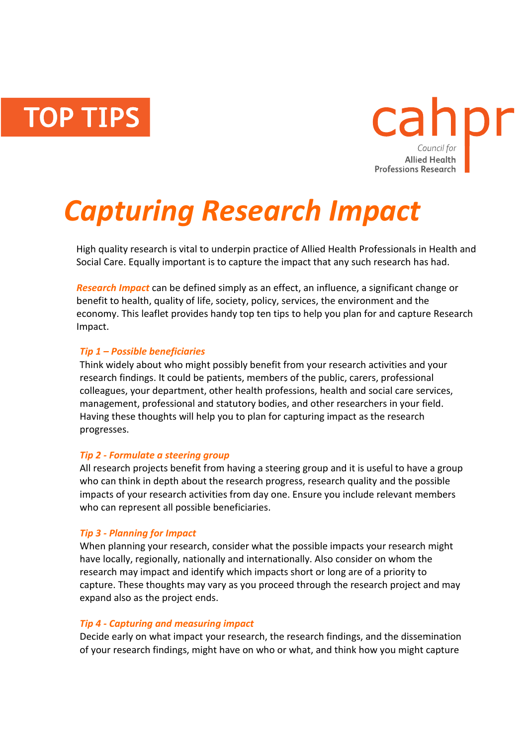**TOP TIPS** 



# *Capturing Research Impact*

High quality research is vital to underpin practice of Allied Health Professionals in Health and Social Care. Equally important is to capture the impact that any such research has had.

*Research Impact* can be defined simply as an effect, an influence, a significant change or benefit to health, quality of life, society, policy, services, the environment and the economy. This leaflet provides handy top ten tips to help you plan for and capture Research Impact.

#### *Tip 1 – Possible beneficiaries*

Think widely about who might possibly benefit from your research activities and your research findings. It could be patients, members of the public, carers, professional colleagues, your department, other health professions, health and social care services, management, professional and statutory bodies, and other researchers in your field. Having these thoughts will help you to plan for capturing impact as the research progresses.

#### *Tip 2 - Formulate a steering group*

All research projects benefit from having a steering group and it is useful to have a group who can think in depth about the research progress, research quality and the possible impacts of your research activities from day one. Ensure you include relevant members who can represent all possible beneficiaries.

#### *Tip 3 - Planning for Impact*

When planning your research, consider what the possible impacts your research might have locally, regionally, nationally and internationally. Also consider on whom the research may impact and identify which impacts short or long are of a priority to capture. These thoughts may vary as you proceed through the research project and may expand also as the project ends.

#### *Tip 4 - Capturing and measuring impact*

Decide early on what impact your research, the research findings, and the dissemination of your research findings, might have on who or what, and think how you might capture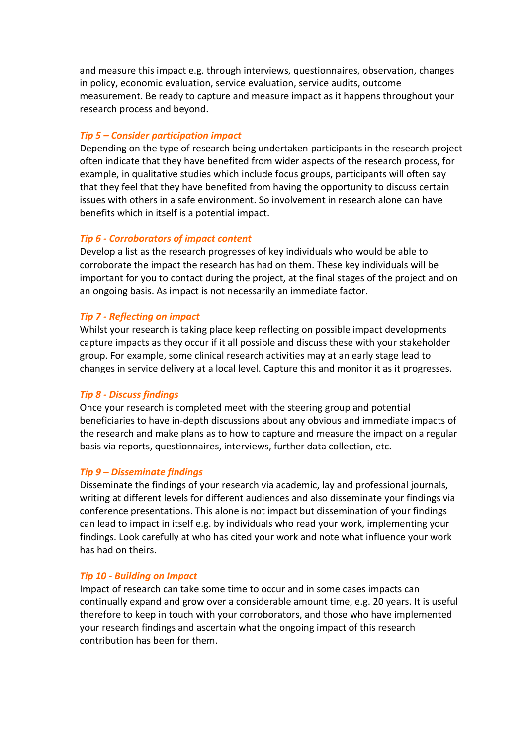and measure this impact e.g. through interviews, questionnaires, observation, changes in policy, economic evaluation, service evaluation, service audits, outcome measurement. Be ready to capture and measure impact as it happens throughout your research process and beyond.

#### *Tip 5 – Consider participation impact*

Depending on the type of research being undertaken participants in the research project often indicate that they have benefited from wider aspects of the research process, for example, in qualitative studies which include focus groups, participants will often say that they feel that they have benefited from having the opportunity to discuss certain issues with others in a safe environment. So involvement in research alone can have benefits which in itself is a potential impact.

#### *Tip 6 - Corroborators of impact content*

Develop a list as the research progresses of key individuals who would be able to corroborate the impact the research has had on them. These key individuals will be important for you to contact during the project, at the final stages of the project and on an ongoing basis. As impact is not necessarily an immediate factor.

### *Tip 7 - Reflecting on impact*

Whilst your research is taking place keep reflecting on possible impact developments capture impacts as they occur if it all possible and discuss these with your stakeholder group. For example, some clinical research activities may at an early stage lead to changes in service delivery at a local level. Capture this and monitor it as it progresses.

#### *Tip 8 - Discuss findings*

Once your research is completed meet with the steering group and potential beneficiaries to have in-depth discussions about any obvious and immediate impacts of the research and make plans as to how to capture and measure the impact on a regular basis via reports, questionnaires, interviews, further data collection, etc.

#### *Tip 9 – Disseminate findings*

Disseminate the findings of your research via academic, lay and professional journals, writing at different levels for different audiences and also disseminate your findings via conference presentations. This alone is not impact but dissemination of your findings can lead to impact in itself e.g. by individuals who read your work, implementing your findings. Look carefully at who has cited your work and note what influence your work has had on theirs.

#### *Tip 10 - Building on Impact*

Impact of research can take some time to occur and in some cases impacts can continually expand and grow over a considerable amount time, e.g. 20 years. It is useful therefore to keep in touch with your corroborators, and those who have implemented your research findings and ascertain what the ongoing impact of this research contribution has been for them.